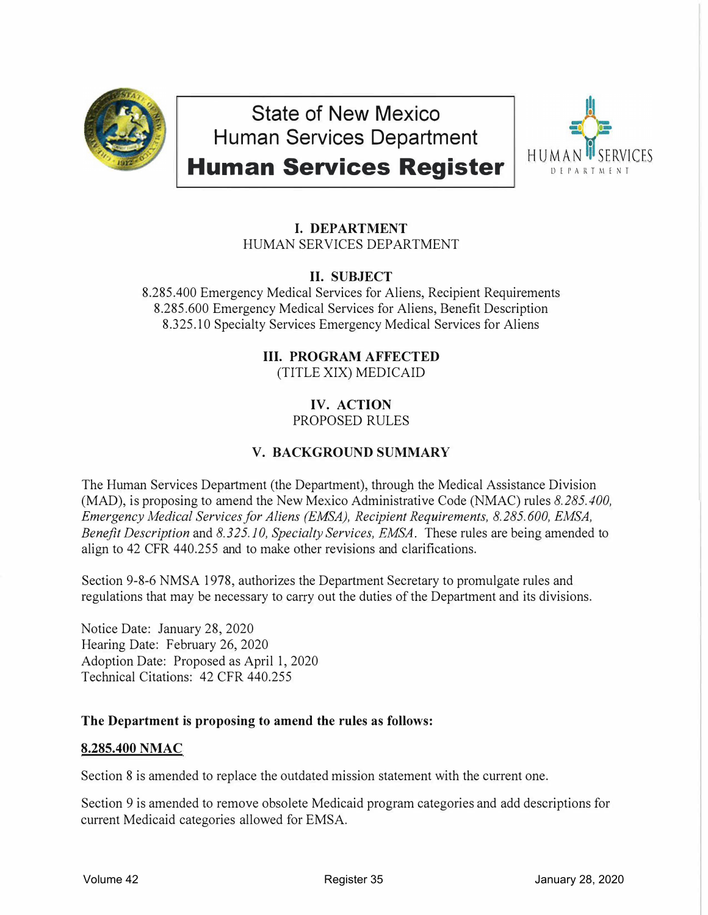

**State of New Mexico Human Services Department** 

# **Human Services Register**



## I. **DEPARTMENT** HUMAN SERVICES DEPARTMENT

## **II. SUBJECT**

8.285.400 Emergency Medical Services for Aliens, Recipient Requirements 8.285.600 Emergency Medical Services for Aliens, Benefit Description 8.325.10 Specialty Services Emergency Medical Services for Aliens

## **III. PROGRAM AFFECTED**

(TITLE XIX) MEDICAID

#### **IV. ACTION** PROPOSED RULES

## **V. BACKGROUNDSUMMARY**

The Human Services Department (the Department), through the Medical Assistance Division (MAD), is proposing to amend the New Mexico Administrative Code (NMAC) rules *8.285.400, Emergency Medical Services for Aliens (EMSA), Recipient Requirements, 8.285.600, EMSA, Benefit Description* and *8.325.10, Specialty Services, EMSA.* These rules are being amended to align to 42 CFR 440.255 and to make other revisions and clarifications.

Section 9-8-6 NMSA 1978, authorizes the Department Secretary to promulgate rules and regulations that may be necessary to carry out the duties of the Department and its divisions.

Notice Date: January 28, 2020 Hearing Date: February 26, 2020 Adoption Date: Proposed as April 1, 2020 Technical Citations: 42 CFR 440.255

## **The Department is proposing to amend the rules as follows:**

## **8.285.400 NMAC**

Section 8 is amended to replace the outdated mission statement with the current one.

Section 9 is amended to remove obsolete Medicaid program categories and add descriptions for current Medicaid categories allowed for EMSA.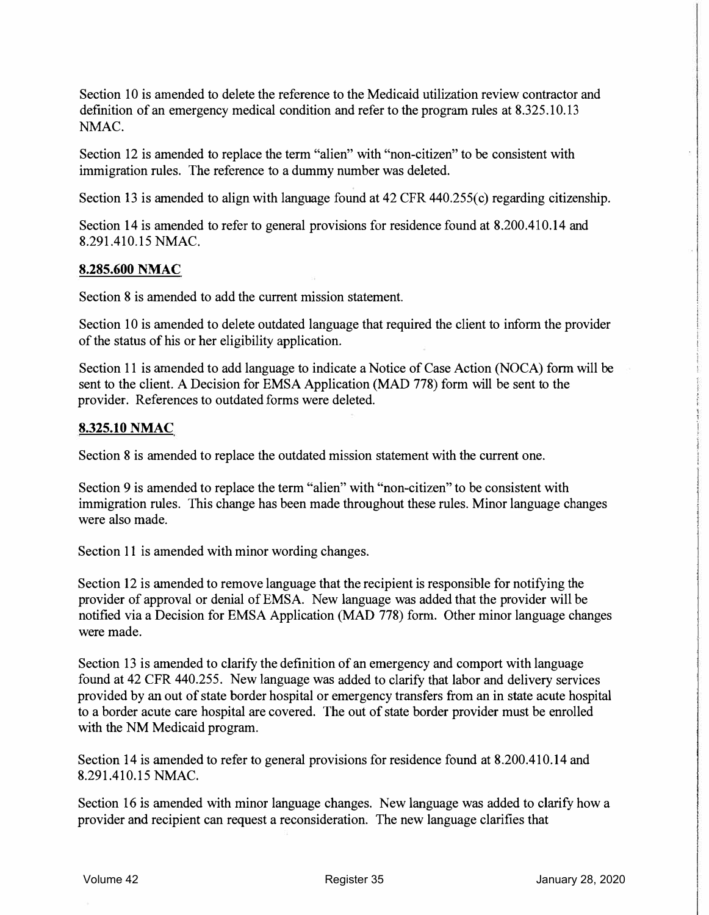Section 10 is amended to delete the reference to the Medicaid utilization review contractor and definition of an emergency medical condition and refer to the program rules at 8.325.10.13 NMAC.

Section 12 is amended to replace the term "alien" with "non-citizen" to be consistent with immigration rules. The reference to a dummy number was deleted.

Section 13 is amended to align with language found at 42 CFR 440.255(c) regarding citizenship.

Section 14 is amended to refer to general provisions for residence found at 8.200.410.14 and 8.291.410.15 NMAC.

#### **8.285.600 NMAC**

Section 8 is amended to add the current mission statement.

Section 10 is amended to delete outdated language that required the client to inform the provider of the status of his or her eligibility application.

Section 11 is amended to add language to indicate a Notice of Case Action (NOCA) form will be sent to the client. A Decision for EMSA Application (MAD 778) form will be sent to the provider. References to outdated forms were deleted.

#### **8.325.10 NMAC**

Section 8 is amended to replace the outdated mission statement with the current one.

Section 9 is amended to replace the term "alien" with "non-citizen" to be consistent with immigration rules. This change has been made throughout these rules. Minor language changes were also made.

Section 11 is amended with minor wording changes.

Section 12 is amended to remove language that the recipient is responsible for notifying the provider of approval or denial of EMSA. New language was added that the provider will be notified via a Decision for EMSA Application (MAD 778) form. Other minor language changes were made.

Section 13 is amended to clarify the definition of an emergency and comport with language found at 42 CPR 440.255. New language was added to clarify that labor and delivery services provided by an out of state border hospital or emergency transfers from an in state acute hospital to a border acute care hospital are covered. The out of state border provider must be enrolled with the NM Medicaid program.

Section 14 is amended to refer to general provisions for residence found at 8.200.410.14 and 8.291.410.15 NMAC.

Section 16 is amended with minor language changes. New language was added to clarify how a provider and recipient can request a reconsideration. The new language clarifies that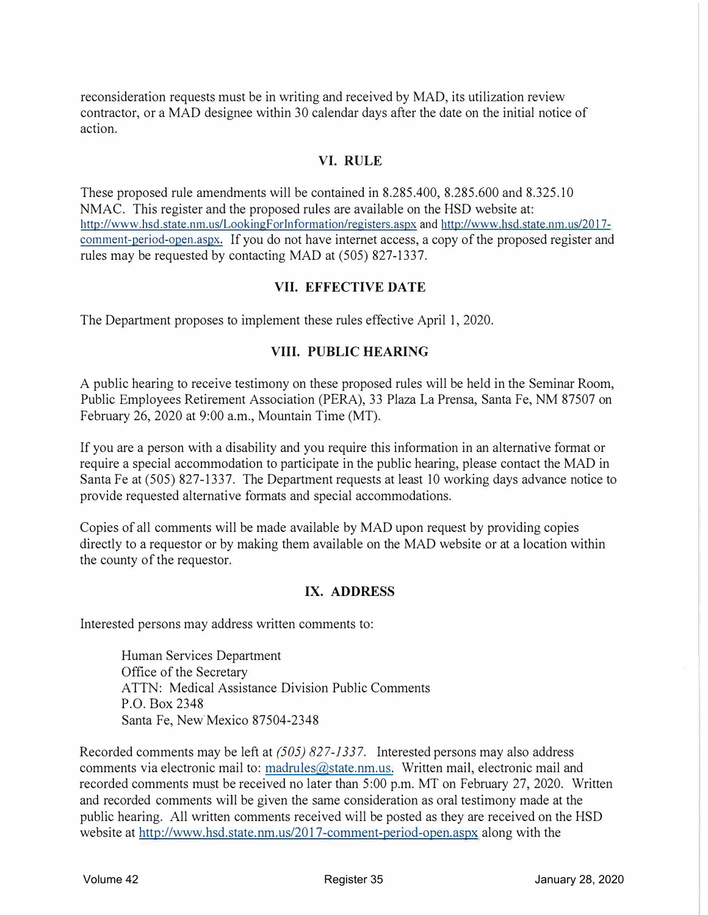reconsideration requests must be in writing and received by MAD, its utilization review contractor, or a MAD designee within 30 calendar days after the date on the initial notice of action.

#### **VI. RULE**

These proposed rule amendments will be contained in 8.285.400, 8.285.600 and 8.325.10 NMAC. This register and the proposed rules are available on the HSD website at: http://www.hsd.state.nm.us/LookingForInformation/registers.aspx and http://www.hsd.state.nm.us/2017comment-period-open aspx. If you do not have internet access, a copy of the proposed register and rules may be requested by contacting MAD at (505) 827-1337.

#### **VII. EFFECTIVE DATE**

The Department proposes to implement these rules effective April 1, 2020.

#### **VIII. PUBLIC HEARING**

A public hearing to receive testimony on these proposed rules will be held in the Seminar Room, Public Employees Retirement Association (PERA), 33 Plaza La Prensa, Santa Fe, NM 87507 on February 26, 2020 at 9:00 a.m., Mountain Time (MT).

If you are a person with a disability and you require this information in an alternative format or require a special accommodation to participate in the public hearing, please contact the MAD in Santa Fe at (505) 827-1337. The Department requests at least 10 working days advance notice to provide requested alternative formats and special accommodations.

Copies of all comments will be made available by MAD upon request by providing copies directly to a requestor or by making them available on the MAD website or at a location within the county of the requestor.

#### **IX. ADDRESS**

Interested persons may address written comments to:

Human Services Department Office of the Secretary ATTN: Medical Assistance Division Public Comments P.O. Box 2348 Santa Fe, New Mexico 87504-2348

Recorded comments may be left at *(505) 827-1337.* Interested persons may also address comments via electronic mail to: madrules@state.nm.us. Written mail, electronic mail and recorded comments must be received no later than 5:00 p.m. MT on February 27, 2020. Written and recorded comments will be given the same consideration as oral testimony made at the public hearing. All written comments received will be posted as they are received on the HSD website at http://www.hsd.state.nm.us/2017-comment-period-open.aspx along with the